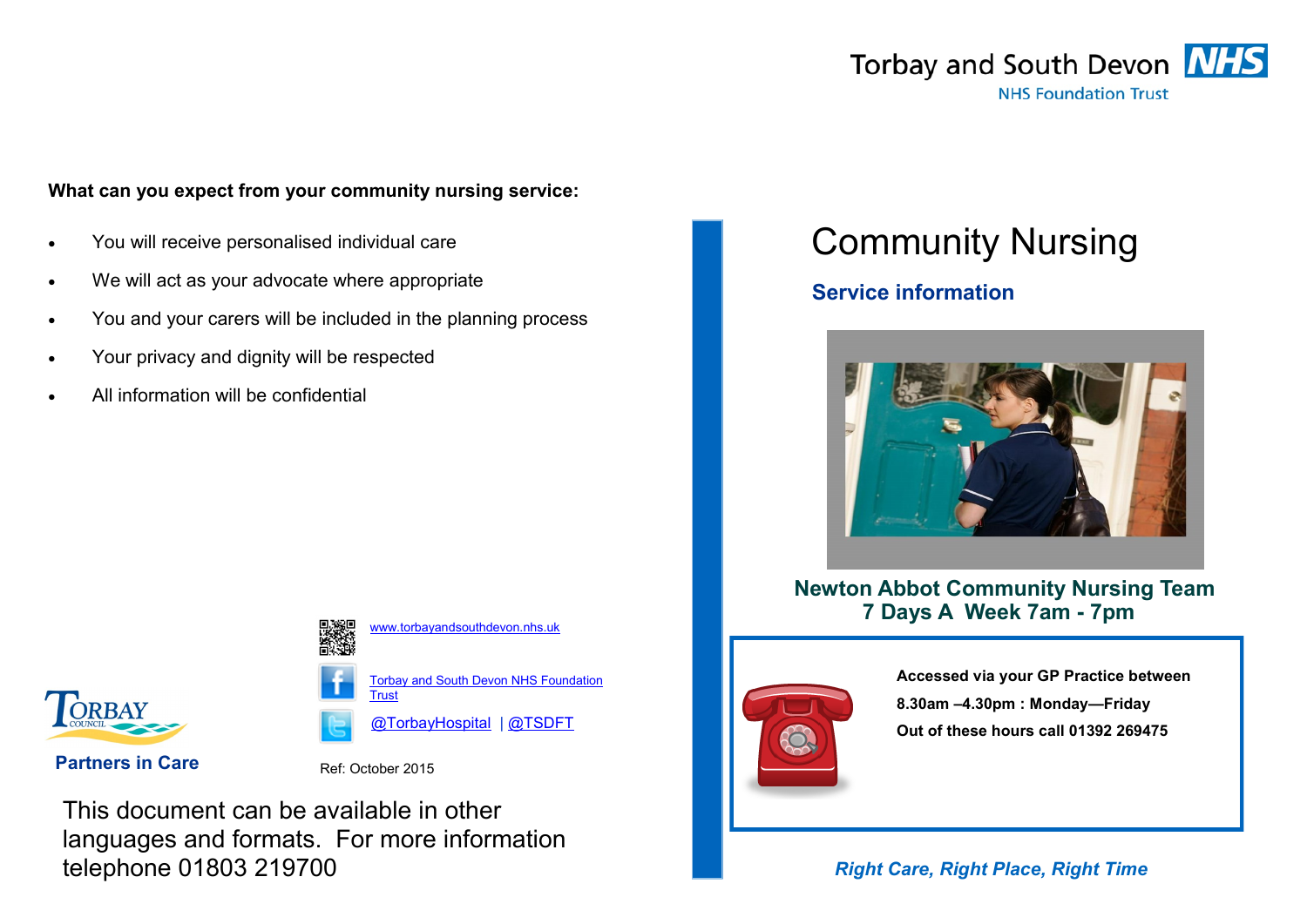

#### **What can you expect from your community nursing service:**

- You will receive personalised individual care
- We will act as your advocate where appropriate
- You and your carers will be included in the planning process
- Your privacy and dignity will be respected
- All information will be confidential



[www.torbayandsouthdevon.nhs.uk](https://web.nhs.net/OWA/redir.aspx?SURL=ejG26zMnlt6ulzFLWPW6Ta0cGY6SOPogAnwSkPw9aKZInO5o-9LSCGgAdAB0AHAAOgAvAC8AdwB3AHcALgB0AG8AcgBiAGEAeQBhAG4AZABzAG8AdQB0AGgAZABlAHYAbwBuAC4AbgBoAHMALgB1AGsA&URL=http%3a%2f%2fwww.torbayandsouthdevon.nhs.uk)

> **Torbay and South Devon NHS Foundation [Trust](https://web.nhs.net/OWA/redir.aspx?SURL=wtTQOG4CACF8GtKFXHa7WqOAENGWjqDRR2uK-fY3RgVInO5o-9LSCGgAdAB0AHAAOgAvAC8AdwB3AHcALgBmAGEAYwBlAGIAbwBvAGsALgBjAG8AbQAvAFQAbwByAGIAYQB5AGEAbgBkAHMAbwB1AHQAaABkAGUAdgBvAG4ARgBUAA..&URL=http%3a%2f%2fwww.facebook.com%2fTorbay)**

[@TorbayHospital](https://web.nhs.net/OWA/redir.aspx?SURL=YFyZS7thHcLD7oPiZFsGnLLtd40H3M2lJSXl3J8owhVInO5o-9LSCGgAdAB0AHAAcwA6AC8ALwB0AHcAaQB0AHQAZQByAC4AYwBvAG0ALwBAAHQAbwByAGIAYQB5AGgAbwBzAHAAaQB0AGEAbAA.&URL=https%3a%2f%2ftwitter.com%2f%40torbayhospital) | [@TSDFT](https://web.nhs.net/OWA/redir.aspx?SURL=EdYQPSxIcH_WrgUN1zNlsPDmFIbjy1bmnwg-bS-gyOdInO5o-9LSCGgAdAB0AHAAcwA6AC8ALwB0AHcAaQB0AHQAZQByAC4AYwBvAG0ALwBUAFMARABGAFQAXwBOAEgAUwA.&URL=https%3a%2f%2ftwitter.com%2fTSDFT_NHS)

**Partners in Care** Ref: October 2015

This document can be available in other languages and formats. For more information telephone 01803 219700

# Community Nursing

## **Service information**



 **Newton Abbot Community Nursing Team 7 Days A Week 7am - 7pm**



**Accessed via your GP Practice between 8.30am –4.30pm : Monday—Friday Out of these hours call 01392 269475**

### *Right Care, Right Place, Right Time*